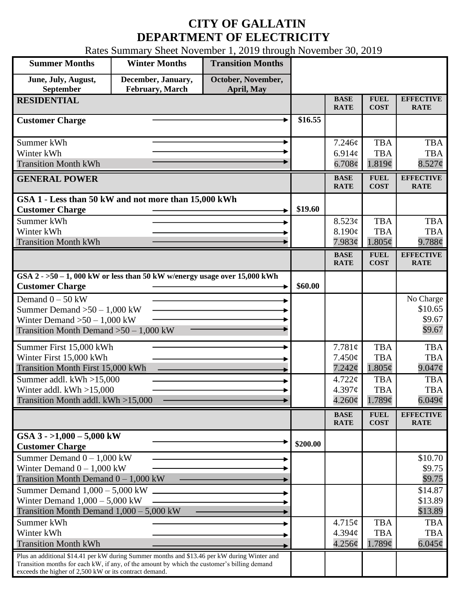## **CITY OF GALLATIN DEPARTMENT OF ELECTRICITY**

Rates Summary Sheet November 1, 2019 through November 30, 2019

| <b>Summer Months</b>                                                                                                                                                                                                                                 | <b>Winter Months</b>                  | <b>Transition Months</b>         |                            |                                        |                                               |                                          |
|------------------------------------------------------------------------------------------------------------------------------------------------------------------------------------------------------------------------------------------------------|---------------------------------------|----------------------------------|----------------------------|----------------------------------------|-----------------------------------------------|------------------------------------------|
| June, July, August,<br>September                                                                                                                                                                                                                     | December, January,<br>February, March | October, November,<br>April, May |                            |                                        |                                               |                                          |
| <b>RESIDENTIAL</b>                                                                                                                                                                                                                                   |                                       | <b>BASE</b><br><b>RATE</b>       | <b>FUEL</b><br><b>COST</b> | <b>EFFECTIVE</b><br><b>RATE</b>        |                                               |                                          |
| <b>Customer Charge</b>                                                                                                                                                                                                                               |                                       |                                  | \$16.55                    |                                        |                                               |                                          |
| Summer kWh<br>Winter kWh<br><b>Transition Month kWh</b>                                                                                                                                                                                              |                                       |                                  |                            | 7.246¢<br>$6.914\mathcal{C}$<br>6.708¢ | <b>TBA</b><br><b>TBA</b><br>1.819¢            | <b>TBA</b><br><b>TBA</b><br>$8.527$ ¢    |
| <b>GENERAL POWER</b>                                                                                                                                                                                                                                 |                                       |                                  |                            | <b>BASE</b><br><b>RATE</b>             | <b>FUEL</b><br><b>COST</b>                    | <b>EFFECTIVE</b><br><b>RATE</b>          |
| GSA 1 - Less than 50 kW and not more than 15,000 kWh<br><b>Customer Charge</b>                                                                                                                                                                       |                                       |                                  | \$19.60                    |                                        |                                               |                                          |
| Summer kWh<br>Winter kWh<br><b>Transition Month kWh</b>                                                                                                                                                                                              |                                       |                                  |                            | 8.523¢<br>8.190¢<br>7.983¢             | <b>TBA</b><br><b>TBA</b><br>$1.805\phi$       | <b>TBA</b><br><b>TBA</b><br>9.788c       |
|                                                                                                                                                                                                                                                      |                                       |                                  |                            | <b>BASE</b><br><b>RATE</b>             | <b>FUEL</b><br><b>COST</b>                    | <b>EFFECTIVE</b><br><b>RATE</b>          |
| GSA $2 - 50 - 1$ , 000 kW or less than 50 kW w/energy usage over 15,000 kWh<br><b>Customer Charge</b>                                                                                                                                                |                                       |                                  | \$60.00                    |                                        |                                               |                                          |
| Demand $0 - 50$ kW<br>Summer Demand $>50 - 1,000$ kW<br>Winter Demand $>50-1,000$ kW<br>Transition Month Demand $>50-1,000$ kW                                                                                                                       |                                       |                                  |                            |                                        |                                               | No Charge<br>\$10.65<br>\$9.67<br>\$9.67 |
| Summer First 15,000 kWh<br>Winter First 15,000 kWh<br>Transition Month First 15,000 kWh                                                                                                                                                              |                                       |                                  |                            | 7.781¢<br>7.450¢<br>$7.242\mathcal{C}$ | <b>TBA</b><br><b>TBA</b><br>$1.805\phi$       | <b>TBA</b><br><b>TBA</b><br>9.047¢       |
| Summer addl. $kWh > 15,000$<br>Winter addl. $kWh > 15,000$<br>Transition Month addl. kWh >15,000                                                                                                                                                     |                                       |                                  |                            | 4.722c<br>4.397c<br>$4.260\phi$        | <b>TBA</b><br><b>TBA</b><br>1.789¢            | <b>TBA</b><br><b>TBA</b><br>6.049¢       |
|                                                                                                                                                                                                                                                      |                                       |                                  |                            | <b>BASE</b><br><b>RATE</b>             | ${\bf F}{\bf U}{\bf E}{\bf L}$<br><b>COST</b> | <b>EFFECTIVE</b><br><b>RATE</b>          |
| GSA $3 - 1,000 - 5,000$ kW<br><b>Customer Charge</b>                                                                                                                                                                                                 |                                       |                                  | \$200.00                   |                                        |                                               |                                          |
| Summer Demand $0 - 1,000$ kW<br>Winter Demand $0 - 1,000$ kW<br>Transition Month Demand $0 - 1,000$ kW                                                                                                                                               |                                       |                                  |                            |                                        |                                               | \$10.70<br>\$9.75<br>\$9.75              |
| Summer Demand $1,000 - 5,000$ kW<br>Winter Demand $1,000 - 5,000$ kW<br>Transition Month Demand $1,000 - 5,000$ kW                                                                                                                                   |                                       |                                  |                            |                                        |                                               | \$14.87<br>\$13.89<br>\$13.89            |
| Summer kWh<br>Winter kWh<br><b>Transition Month kWh</b>                                                                                                                                                                                              |                                       |                                  |                            | 4.715¢<br>4.394c<br>4.256¢             | <b>TBA</b><br><b>TBA</b><br>1.789¢            | <b>TBA</b><br><b>TBA</b><br>6.045 $\phi$ |
| Plus an additional \$14.41 per kW during Summer months and \$13.46 per kW during Winter and<br>Transition months for each kW, if any, of the amount by which the customer's billing demand<br>exceeds the higher of 2,500 kW or its contract demand. |                                       |                                  |                            |                                        |                                               |                                          |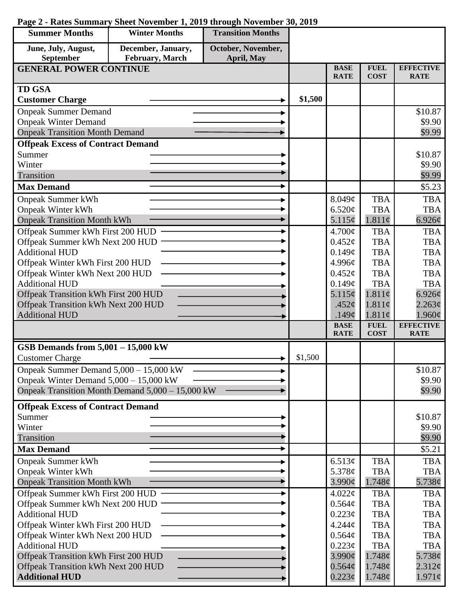| <b>Summer Months</b>                                                        | <b>Winter Months</b>                             | <b>Transition Months</b>   |                            |                                |                                          |                            |
|-----------------------------------------------------------------------------|--------------------------------------------------|----------------------------|----------------------------|--------------------------------|------------------------------------------|----------------------------|
| June, July, August,                                                         | December, January,                               | October, November,         |                            |                                |                                          |                            |
| September                                                                   | February, March                                  | April, May                 |                            |                                |                                          | <b>EFFECTIVE</b>           |
| <b>GENERAL POWER CONTINUE</b>                                               |                                                  | <b>BASE</b><br><b>RATE</b> | <b>FUEL</b><br><b>COST</b> | <b>RATE</b>                    |                                          |                            |
| <b>TD GSA</b>                                                               |                                                  |                            |                            |                                |                                          |                            |
| <b>Customer Charge</b>                                                      |                                                  |                            | \$1,500                    |                                |                                          |                            |
| <b>Onpeak Summer Demand</b>                                                 |                                                  |                            |                            |                                |                                          | \$10.87                    |
| <b>Onpeak Winter Demand</b>                                                 |                                                  |                            |                            |                                |                                          | \$9.90                     |
| <b>Onpeak Transition Month Demand</b>                                       |                                                  |                            |                            |                                |                                          | \$9.99                     |
| <b>Offpeak Excess of Contract Demand</b>                                    |                                                  |                            |                            |                                |                                          |                            |
| Summer                                                                      |                                                  |                            |                            |                                |                                          | \$10.87                    |
| Winter                                                                      |                                                  |                            |                            |                                |                                          | \$9.90                     |
| Transition                                                                  |                                                  |                            |                            |                                |                                          | \$9.99                     |
| <b>Max Demand</b>                                                           |                                                  |                            |                            |                                |                                          | \$5.23                     |
| <b>Onpeak Summer kWh</b>                                                    |                                                  |                            |                            | 8.049¢                         | <b>TBA</b>                               | <b>TBA</b>                 |
| <b>Onpeak Winter kWh</b>                                                    |                                                  |                            |                            | 6.520¢                         | <b>TBA</b>                               | <b>TBA</b>                 |
| <b>Onpeak Transition Month kWh</b>                                          |                                                  |                            |                            | 5.115¢                         | 1.811¢                                   | 6.926¢                     |
| Offpeak Summer kWh First 200 HUD                                            |                                                  |                            |                            | 4.700¢                         | <b>TBA</b>                               | <b>TBA</b>                 |
| Offpeak Summer kWh Next 200 HUD                                             |                                                  |                            |                            | $0.452\epsilon$                | <b>TBA</b>                               | <b>TBA</b>                 |
| <b>Additional HUD</b>                                                       |                                                  |                            |                            | 0.149¢                         | <b>TBA</b>                               | <b>TBA</b>                 |
| Offpeak Winter kWh First 200 HUD                                            |                                                  |                            |                            | 4.996¢                         | <b>TBA</b>                               | <b>TBA</b>                 |
| Offpeak Winter kWh Next 200 HUD                                             |                                                  |                            |                            | 0.452¢                         | <b>TBA</b>                               | <b>TBA</b>                 |
| <b>Additional HUD</b>                                                       |                                                  |                            |                            | 0.149¢                         | <b>TBA</b>                               | <b>TBA</b>                 |
| Offpeak Transition kWh First 200 HUD                                        |                                                  |                            |                            | 5.115¢                         | 1.811¢                                   | 6.926¢                     |
| Offpeak Transition kWh Next 200 HUD                                         |                                                  |                            |                            | .452 $\mathfrak{c}$            | 1.811¢                                   | 2.263¢                     |
| <b>Additional HUD</b>                                                       |                                                  |                            |                            | .149 $\phi$<br><b>BASE</b>     | 1.811¢<br><b>FUEL</b>                    | 1.960¢<br><b>EFFECTIVE</b> |
|                                                                             |                                                  |                            |                            | <b>RATE</b>                    | <b>COST</b>                              | <b>RATE</b>                |
| GSB Demands from $5,001 - 15,000$ kW                                        |                                                  |                            |                            |                                |                                          |                            |
| <b>Customer Charge</b>                                                      |                                                  |                            | \$1,500                    |                                |                                          |                            |
| Onpeak Summer Demand 5,000 - 15,000 kW                                      |                                                  |                            |                            |                                |                                          | \$10.87                    |
| Onpeak Winter Demand $5,000 - 15,000$ kW                                    |                                                  |                            |                            |                                |                                          | \$9.90                     |
|                                                                             | Onpeak Transition Month Demand 5,000 - 15,000 kW |                            |                            |                                |                                          | \$9.90                     |
| <b>Offpeak Excess of Contract Demand</b>                                    |                                                  |                            |                            |                                |                                          |                            |
| Summer                                                                      |                                                  |                            |                            |                                |                                          | \$10.87                    |
| Winter                                                                      |                                                  |                            |                            |                                |                                          | \$9.90                     |
| Transition                                                                  |                                                  |                            |                            |                                |                                          | \$9.90                     |
| <b>Max Demand</b>                                                           |                                                  |                            |                            |                                |                                          | \$5.21                     |
| <b>Onpeak Summer kWh</b>                                                    |                                                  |                            |                            | 6.513¢                         | <b>TBA</b>                               | <b>TBA</b>                 |
| <b>Onpeak Winter kWh</b>                                                    |                                                  |                            |                            | 5.378¢                         | <b>TBA</b>                               | <b>TBA</b>                 |
| <b>Onpeak Transition Month kWh</b>                                          |                                                  |                            |                            | $3.990\ell$                    | 1.748¢                                   | 5.738¢                     |
| Offpeak Summer kWh First 200 HUD                                            |                                                  |                            |                            | 4.022¢                         | <b>TBA</b>                               | <b>TBA</b>                 |
| Offpeak Summer kWh Next 200 HUD                                             |                                                  |                            |                            | 0.564¢                         | <b>TBA</b>                               | <b>TBA</b>                 |
| <b>Additional HUD</b>                                                       |                                                  |                            |                            | 0.223¢                         | <b>TBA</b>                               | <b>TBA</b>                 |
| Offpeak Winter kWh First 200 HUD                                            |                                                  |                            |                            | 4.244 <sub>c</sub>             | <b>TBA</b>                               | <b>TBA</b>                 |
| Offpeak Winter kWh Next 200 HUD                                             |                                                  |                            |                            | 0.564¢                         | <b>TBA</b>                               | <b>TBA</b>                 |
| <b>Additional HUD</b>                                                       |                                                  |                            |                            | 0.223¢                         | <b>TBA</b>                               | <b>TBA</b>                 |
| Offpeak Transition kWh First 200 HUD<br>Offpeak Transition kWh Next 200 HUD |                                                  |                            |                            | $3.990\text{¢}$<br>$0.564\phi$ | 1.748 <sub>c</sub><br>$1.748\mathcal{C}$ | 5.738c<br>$2.312\epsilon$  |
| <b>Additional HUD</b>                                                       |                                                  |                            |                            | $0.223\phi$                    | 1.748¢                                   | $1.971\phi$                |
|                                                                             |                                                  |                            |                            |                                |                                          |                            |

## **Page 2 - Rates Summary Sheet November 1, 2019 through November 30, 2019**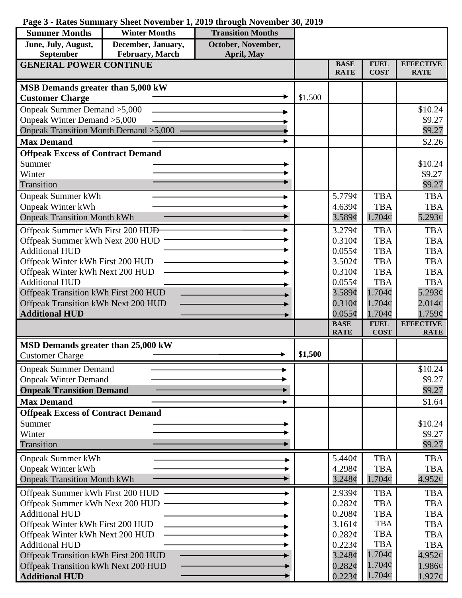|  |  |  |  |  |  |  |  | Page 3 - Rates Summary Sheet November 1, 2019 through November 30, 2019 |  |  |  |
|--|--|--|--|--|--|--|--|-------------------------------------------------------------------------|--|--|--|
|--|--|--|--|--|--|--|--|-------------------------------------------------------------------------|--|--|--|

| <b>Summer Months</b>                                     | <b>Winter Months</b> | <b>Transition Months</b> |         |                            |                          |                          |
|----------------------------------------------------------|----------------------|--------------------------|---------|----------------------------|--------------------------|--------------------------|
| June, July, August,                                      | December, January,   | October, November,       |         |                            |                          |                          |
| September<br><b>GENERAL POWER CONTINUE</b>               | February, March      | April, May               |         | <b>BASE</b>                | <b>FUEL</b>              | <b>EFFECTIVE</b>         |
|                                                          |                      |                          |         | <b>RATE</b>                | <b>COST</b>              | <b>RATE</b>              |
| MSB Demands greater than 5,000 kW                        |                      |                          |         |                            |                          |                          |
| <b>Customer Charge</b>                                   |                      |                          | \$1,500 |                            |                          |                          |
| Onpeak Summer Demand > 5,000                             |                      |                          |         |                            |                          | \$10.24                  |
| Onpeak Winter Demand > 5,000                             |                      |                          |         |                            |                          | \$9.27                   |
| Onpeak Transition Month Demand > 5,000                   |                      |                          |         |                            |                          | \$9.27                   |
| <b>Max Demand</b>                                        |                      |                          |         |                            |                          | \$2.26                   |
| <b>Offpeak Excess of Contract Demand</b>                 |                      |                          |         |                            |                          |                          |
| Summer                                                   |                      |                          |         |                            |                          | \$10.24                  |
| Winter                                                   |                      |                          |         |                            |                          | \$9.27                   |
| Transition                                               |                      |                          |         |                            |                          | \$9.27                   |
| <b>Onpeak Summer kWh</b>                                 |                      |                          |         | 5.779¢                     | <b>TBA</b>               | <b>TBA</b>               |
| <b>Onpeak Winter kWh</b>                                 |                      |                          |         | 4.639¢                     | <b>TBA</b>               | <b>TBA</b>               |
| <b>Onpeak Transition Month kWh</b>                       |                      |                          |         | 3.589¢                     | $1.704\phi$              | 5.293 $\phi$             |
| Offpeak Summer kWh First 200 HU <del>D</del>             |                      |                          |         | 3.279¢                     | <b>TBA</b>               | <b>TBA</b>               |
| Offpeak Summer kWh Next 200 HUD                          |                      |                          |         | $0.310\phi$                | <b>TBA</b>               | <b>TBA</b>               |
| <b>Additional HUD</b>                                    |                      |                          |         | $0.055\phi$                | <b>TBA</b>               | <b>TBA</b>               |
| Offpeak Winter kWh First 200 HUD                         |                      |                          |         | 3.502¢                     | <b>TBA</b>               | <b>TBA</b>               |
| Offpeak Winter kWh Next 200 HUD<br><b>Additional HUD</b> |                      |                          |         | $0.310\phi$<br>$0.055\phi$ | <b>TBA</b><br><b>TBA</b> | <b>TBA</b><br><b>TBA</b> |
| Offpeak Transition kWh First 200 HUD                     |                      |                          |         | $3.589\mathcal{C}$         | $1.704\phi$              | $5.293\mathcal{C}$       |
| Offpeak Transition kWh Next 200 HUD                      |                      |                          |         | $0.310\phi$                | $1.704\phi$              | $2.014\phi$              |
| <b>Additional HUD</b>                                    |                      |                          |         | $0.055\phi$                | $1.704\phi$              | 1.759¢                   |
|                                                          |                      |                          |         | <b>BASE</b>                | <b>FUEL</b>              | <b>EFFECTIVE</b>         |
|                                                          |                      |                          |         | <b>RATE</b>                | <b>COST</b>              | <b>RATE</b>              |
| MSD Demands greater than 25,000 kW                       |                      |                          |         |                            |                          |                          |
| <b>Customer Charge</b>                                   |                      |                          | \$1,500 |                            |                          |                          |
| <b>Onpeak Summer Demand</b>                              |                      |                          |         |                            |                          | \$10.24                  |
| <b>Onpeak Winter Demand</b>                              |                      |                          |         |                            |                          | \$9.27                   |
| <b>Onpeak Transition Demand</b>                          |                      |                          |         |                            |                          | \$9.27                   |
| <b>Max Demand</b>                                        |                      |                          |         |                            |                          | \$1.64                   |
| <b>Offpeak Excess of Contract Demand</b>                 |                      |                          |         |                            |                          |                          |
| Summer                                                   |                      |                          |         |                            |                          | \$10.24                  |
| Winter<br>Transition                                     |                      |                          |         |                            |                          | \$9.27                   |
|                                                          |                      |                          |         |                            |                          | \$9.27                   |
| <b>Onpeak Summer kWh</b>                                 |                      |                          |         | 5.440¢                     | <b>TBA</b>               | <b>TBA</b>               |
| <b>Onpeak Winter kWh</b>                                 |                      |                          |         | 4.298¢                     | <b>TBA</b>               | <b>TBA</b>               |
| <b>Onpeak Transition Month kWh</b>                       |                      |                          |         | $3.248\mathcal{C}$         | $1.704\phi$              | 4.952¢                   |
| Offpeak Summer kWh First 200 HUD                         |                      |                          |         | 2.939¢                     | <b>TBA</b>               | <b>TBA</b>               |
| Offpeak Summer kWh Next 200 HUD -                        |                      |                          |         | 0.282¢                     | <b>TBA</b>               | <b>TBA</b>               |
| <b>Additional HUD</b>                                    |                      |                          |         | $0.208\phi$                | <b>TBA</b><br><b>TBA</b> | <b>TBA</b>               |
| Offpeak Winter kWh First 200 HUD                         |                      |                          |         | 3.161¢<br>0.282¢           | <b>TBA</b>               | <b>TBA</b><br><b>TBA</b> |
| Offpeak Winter kWh Next 200 HUD<br><b>Additional HUD</b> |                      |                          |         | 0.223¢                     | <b>TBA</b>               | <b>TBA</b>               |
| Offpeak Transition kWh First 200 HUD                     |                      |                          |         | $3.248\phi$                | $1.704\phi$              | 4.952¢                   |
| Offpeak Transition kWh Next 200 HUD                      |                      |                          |         | $0.282\epsilon$            | $1.704\phi$              | 1.986¢                   |
| <b>Additional HUD</b>                                    |                      |                          |         | $0.223\phi$                | $1.704\phi$              | $1.927\phi$              |